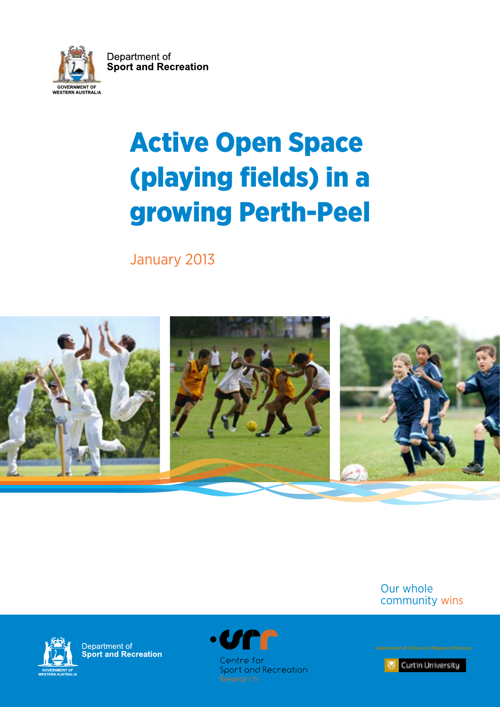Department of **Sport and Recreation** GOVERNMENT OF<br>WESTERN AUSTRALIA

# Active Open Space (playing fields) in a growing Perth-Peel

January 2013



Our whole community wins



Department of<br>Sport and Recreation



Curtin University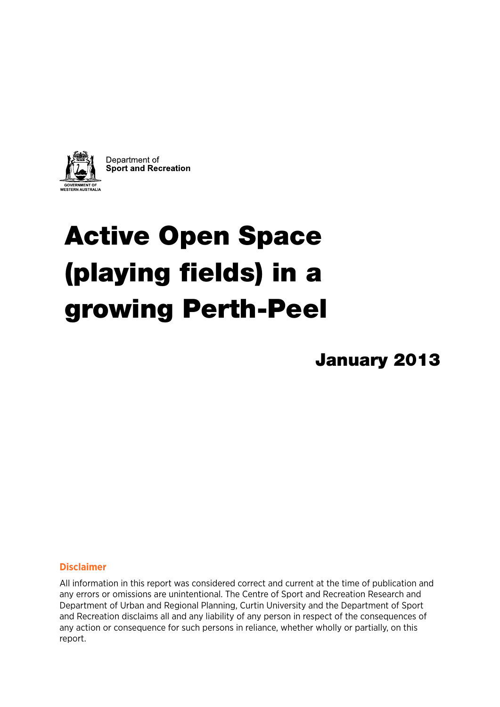

# Active Open Space (playing fields) in a growing Perth-Peel

January 2013

#### **Disclaimer**

All information in this report was considered correct and current at the time of publication and any errors or omissions are unintentional. The Centre of Sport and Recreation Research and Department of Urban and Regional Planning, Curtin University and the Department of Sport and Recreation disclaims all and any liability of any person in respect of the consequences of any action or consequence for such persons in reliance, whether wholly or partially, on this report.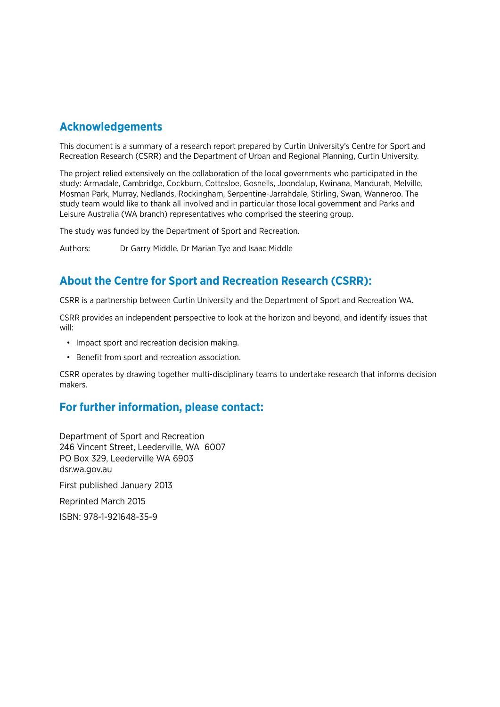### **Acknowledgements**

This document is a summary of a research report prepared by Curtin University's Centre for Sport and Recreation Research (CSRR) and the Department of Urban and Regional Planning, Curtin University.

The project relied extensively on the collaboration of the local governments who participated in the study: Armadale, Cambridge, Cockburn, Cottesloe, Gosnells, Joondalup, Kwinana, Mandurah, Melville, Mosman Park, Murray, Nedlands, Rockingham, Serpentine-Jarrahdale, Stirling, Swan, Wanneroo. The study team would like to thank all involved and in particular those local government and Parks and Leisure Australia (WA branch) representatives who comprised the steering group.

The study was funded by the Department of Sport and Recreation.

Authors: Dr Garry Middle, Dr Marian Tye and Isaac Middle

## **About the Centre for Sport and Recreation Research (CSRR):**

CSRR is a partnership between Curtin University and the Department of Sport and Recreation WA.

CSRR provides an independent perspective to look at the horizon and beyond, and identify issues that will:

- Impact sport and recreation decision making.
- Benefit from sport and recreation association.

CSRR operates by drawing together multi-disciplinary teams to undertake research that informs decision makers.

### **For further information, please contact:**

Department of Sport and Recreation 246 Vincent Street, Leederville, WA 6007 PO Box 329, Leederville WA 6903 dsr.wa.gov.au First published January 2013 Reprinted March 2015 ISBN: 978-1-921648-35-9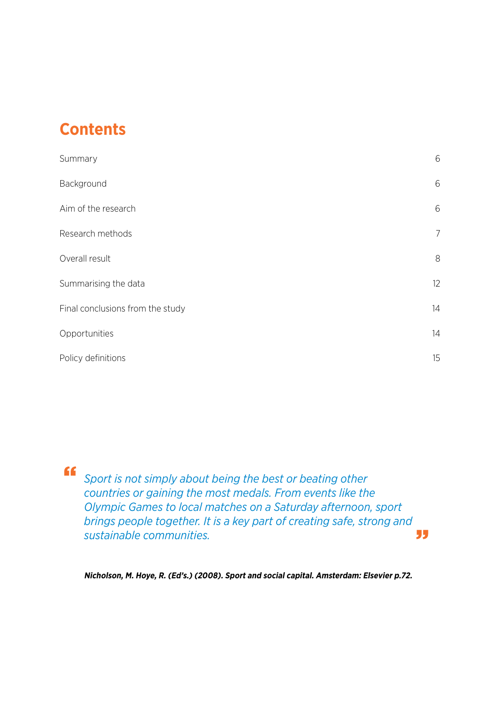# **Contents**

| Summary                          | 6              |
|----------------------------------|----------------|
| Background                       | 6              |
| Aim of the research              | 6              |
| Research methods                 | $\overline{7}$ |
| Overall result                   | 8              |
| Summarising the data             | 12             |
| Final conclusions from the study | 14             |
| Opportunities                    | 14             |
| Policy definitions               | 15             |

*Sport is not simply about being the best or beating other countries or gaining the most medals. From events like the Olympic Games to local matches on a Saturday afternoon, sport brings people together. It is a key part of creating safe, strong and sustainable communities.*  "

**Nicholson, M. Hoye, R. (Ed's.) (2008). Sport and social capital. Amsterdam: Elsevier p.72.**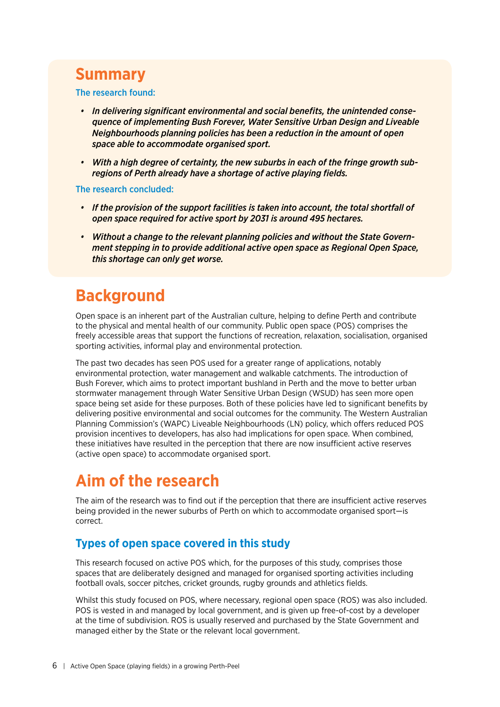## <span id="page-5-0"></span>**Summary**

The research found:

- *In delivering significant environmental and social benefits, the unintended consequence of implementing Bush Forever, Water Sensitive Urban Design and Liveable Neighbourhoods planning policies has been a reduction in the amount of open space able to accommodate organised sport.*
- *With a high degree of certainty, the new suburbs in each of the fringe growth subregions of Perth already have a shortage of active playing fields.*

The research concluded:

- *If the provision of the support facilities is taken into account, the total shortfall of open space required for active sport by 2031 is around 495 hectares.*
- *Without a change to the relevant planning policies and without the State Government stepping in to provide additional active open space as Regional Open Space, this shortage can only get worse.*

# **Background**

Open space is an inherent part of the Australian culture, helping to define Perth and contribute to the physical and mental health of our community. Public open space (POS) comprises the freely accessible areas that support the functions of recreation, relaxation, socialisation, organised sporting activities, informal play and environmental protection.

The past two decades has seen POS used for a greater range of applications, notably environmental protection, water management and walkable catchments. The introduction of Bush Forever, which aims to protect important bushland in Perth and the move to better urban stormwater management through Water Sensitive Urban Design (WSUD) has seen more open space being set aside for these purposes. Both of these policies have led to significant benefits by delivering positive environmental and social outcomes for the community. The Western Australian Planning Commission's (WAPC) Liveable Neighbourhoods (LN) policy, which offers reduced POS provision incentives to developers, has also had implications for open space. When combined, these initiatives have resulted in the perception that there are now insufficient active reserves (active open space) to accommodate organised sport.

# **Aim of the research**

The aim of the research was to find out if the perception that there are insufficient active reserves being provided in the newer suburbs of Perth on which to accommodate organised sport—is correct.

### **Types of open space covered in this study**

This research focused on active POS which, for the purposes of this study, comprises those spaces that are deliberately designed and managed for organised sporting activities including football ovals, soccer pitches, cricket grounds, rugby grounds and athletics fields.

Whilst this study focused on POS, where necessary, regional open space (ROS) was also included. POS is vested in and managed by local government, and is given up free-of-cost by a developer at the time of subdivision. ROS is usually reserved and purchased by the State Government and managed either by the State or the relevant local government.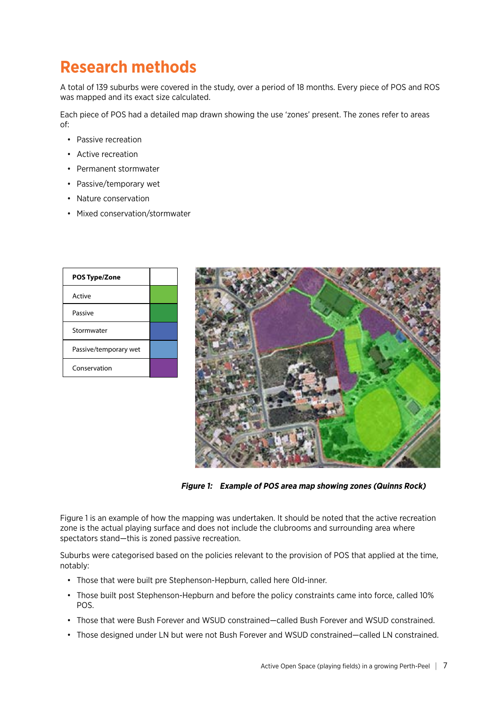# <span id="page-6-0"></span>**Research methods**

A total of 139 suburbs were covered in the study, over a period of 18 months. Every piece of POS and ROS was mapped and its exact size calculated.

Each piece of POS had a detailed map drawn showing the use 'zones' present. The zones refer to areas of:

- Passive recreation
- Active recreation
- Permanent stormwater
- Passive/temporary wet
- Nature conservation
- Mixed conservation/stormwater

| <b>POS Type/Zone</b>  |  |
|-----------------------|--|
| Active                |  |
| Passive               |  |
| Stormwater            |  |
| Passive/temporary wet |  |
| Conservation          |  |



 **Figure 1: Example of POS area map showing zones (Quinns Rock)**

Figure 1 is an example of how the mapping was undertaken. It should be noted that the active recreation zone is the actual playing surface and does not include the clubrooms and surrounding area where spectators stand—this is zoned passive recreation.

Suburbs were categorised based on the policies relevant to the provision of POS that applied at the time, notably:

- Those that were built pre Stephenson-Hepburn, called here Old-inner.
- Those built post Stephenson-Hepburn and before the policy constraints came into force, called 10% POS.
- Those that were Bush Forever and WSUD constrained—called Bush Forever and WSUD constrained.
- Those designed under LN but were not Bush Forever and WSUD constrained—called LN constrained.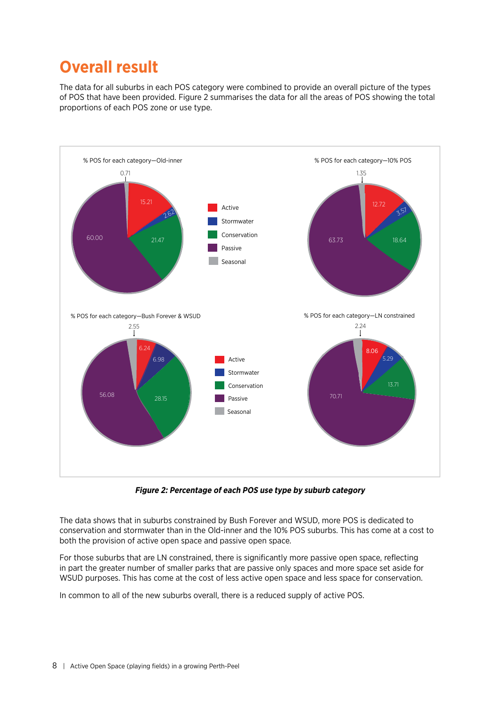# <span id="page-7-0"></span>**Overall result**

The data for all suburbs in each POS category were combined to provide an overall picture of the types of POS that have been provided. Figure 2 summarises the data for all the areas of POS showing the total proportions of each POS zone or use type.



**Figure 2: Percentage of each POS use type by suburb category**

The data shows that in suburbs constrained by Bush Forever and WSUD, more POS is dedicated to conservation and stormwater than in the Old-inner and the 10% POS suburbs. This has come at a cost to both the provision of active open space and passive open space.

For those suburbs that are LN constrained, there is significantly more passive open space, reflecting in part the greater number of smaller parks that are passive only spaces and more space set aside for WSUD purposes. This has come at the cost of less active open space and less space for conservation.

In common to all of the new suburbs overall, there is a reduced supply of active POS.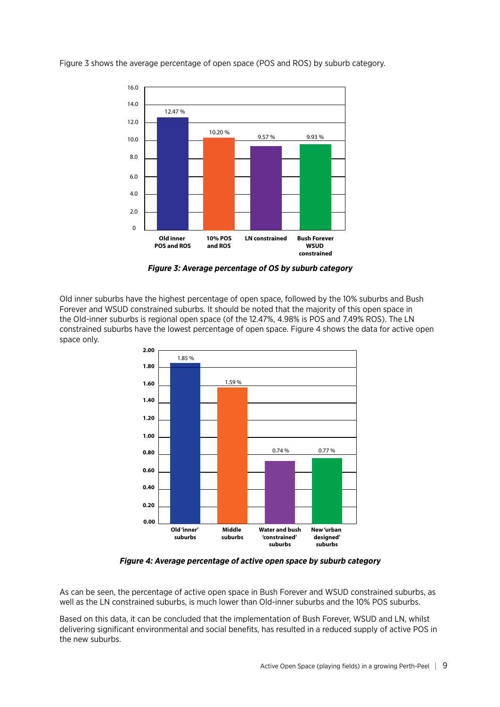

Figure 3 shows the average percentage of open space (POS and ROS) by suburb category.

**Figure 3: Average percentage of OS by suburb category**

Old inner suburbs have the highest percentage of open space, followed by the 10% suburbs and Bush Forever and WSUD constrained suburbs. It should be noted that the majority of this open space in the Old-inner suburbs is regional open space (of the 12.47%, 4.98% is POS and 7.49% ROS). The LN constrained suburbs have the lowest percentage of open space. Figure 4 shows the data for active open space only.



**Figure 4: Average percentage of active open space by suburb category**

As can be seen, the percentage of active open space in Bush Forever and WSUD constrained suburbs, as well as the LN constrained suburbs, is much lower than Old-inner suburbs and the 10% POS suburbs.

Based on this data, it can be concluded that the implementation of Bush Forever, WSUD and LN, whilst delivering significant environmental and social benefits, has resulted in a reduced supply of active POS in the new suburbs.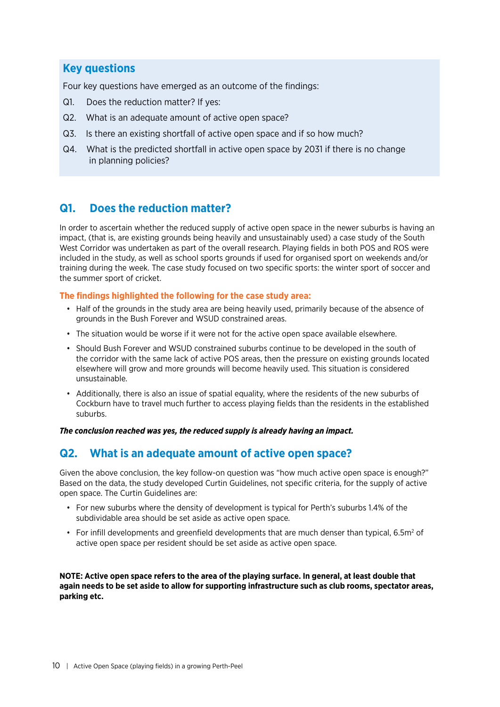### **Key questions**

Four key questions have emerged as an outcome of the findings:

- Q1. Does the reduction matter? If yes:
- Q2. What is an adequate amount of active open space?
- Q3. Is there an existing shortfall of active open space and if so how much?
- Q4. What is the predicted shortfall in active open space by 2031 if there is no change in planning policies?

### **Q1. Does the reduction matter?**

In order to ascertain whether the reduced supply of active open space in the newer suburbs is having an impact, (that is, are existing grounds being heavily and unsustainably used) a case study of the South West Corridor was undertaken as part of the overall research. Playing fields in both POS and ROS were included in the study, as well as school sports grounds if used for organised sport on weekends and/or training during the week. The case study focused on two specific sports: the winter sport of soccer and the summer sport of cricket.

#### **The findings highlighted the following for the case study area:**

- Half of the grounds in the study area are being heavily used, primarily because of the absence of grounds in the Bush Forever and WSUD constrained areas.
- The situation would be worse if it were not for the active open space available elsewhere.
- Should Bush Forever and WSUD constrained suburbs continue to be developed in the south of the corridor with the same lack of active POS areas, then the pressure on existing grounds located elsewhere will grow and more grounds will become heavily used. This situation is considered unsustainable.
- Additionally, there is also an issue of spatial equality, where the residents of the new suburbs of Cockburn have to travel much further to access playing fields than the residents in the established suburbs.

*The conclusion reached was yes, the reduced supply is already having an impact.*

### **Q2. What is an adequate amount of active open space?**

Given the above conclusion, the key follow-on question was "how much active open space is enough?" Based on the data, the study developed Curtin Guidelines, not specific criteria, for the supply of active open space. The Curtin Guidelines are:

- For new suburbs where the density of development is typical for Perth's suburbs 1.4% of the subdividable area should be set aside as active open space.
- For infill developments and greenfield developments that are much denser than typical, 6.5 $m^2$  of active open space per resident should be set aside as active open space.

**NOTE: Active open space refers to the area of the playing surface. In general, at least double that again needs to be set aside to allow for supporting infrastructure such as club rooms, spectator areas, parking etc.**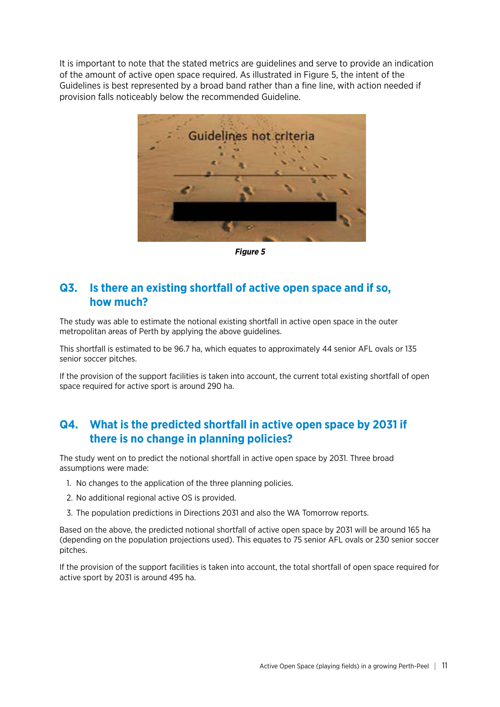It is important to note that the stated metrics are guidelines and serve to provide an indication of the amount of active open space required. As illustrated in Figure 5, the intent of the Guidelines is best represented by a broad band rather than a fine line, with action needed if provision falls noticeably below the recommended Guideline.



**Figure 5**

### **Q3. Is there an existing shortfall of active open space and if so, how much?**

The study was able to estimate the notional existing shortfall in active open space in the outer metropolitan areas of Perth by applying the above guidelines.

This shortfall is estimated to be 96.7 ha, which equates to approximately 44 senior AFL ovals or 135 senior soccer pitches.

If the provision of the support facilities is taken into account, the current total existing shortfall of open space required for active sport is around 290 ha.

### **Q4. What is the predicted shortfall in active open space by 2031 if there is no change in planning policies?**

The study went on to predict the notional shortfall in active open space by 2031. Three broad assumptions were made:

- 1. No changes to the application of the three planning policies.
- 2. No additional regional active OS is provided.
- 3. The population predictions in Directions 2031 and also the WA Tomorrow reports.

Based on the above, the predicted notional shortfall of active open space by 2031 will be around 165 ha (depending on the population projections used). This equates to 75 senior AFL ovals or 230 senior soccer pitches.

If the provision of the support facilities is taken into account, the total shortfall of open space required for active sport by 2031 is around 495 ha.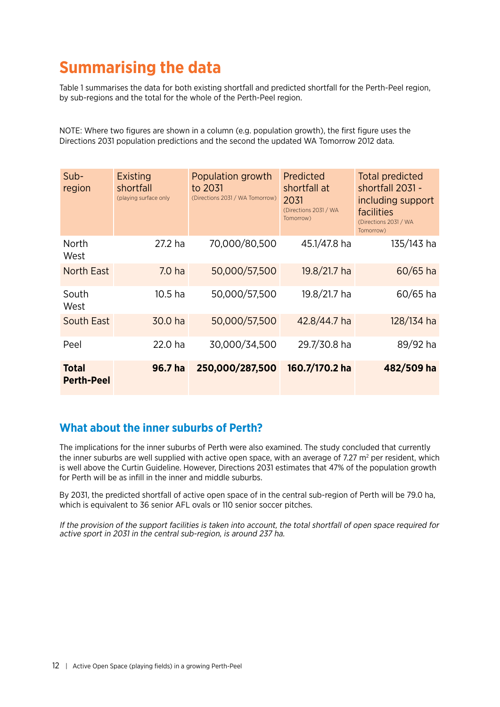# <span id="page-11-0"></span>**Summarising the data**

Table 1 summarises the data for both existing shortfall and predicted shortfall for the Perth-Peel region, by sub-regions and the total for the whole of the Perth-Peel region.

NOTE: Where two figures are shown in a column (e.g. population growth), the first figure uses the Directions 2031 population predictions and the second the updated WA Tomorrow 2012 data.

| $Sub-$<br>region                  | <b>Existing</b><br>shortfall<br>(playing surface only | Population growth<br>to 2031<br>(Directions 2031 / WA Tomorrow) | Predicted<br>shortfall at<br>2031<br>(Directions 2031 / WA<br>Tomorrow) | <b>Total predicted</b><br>shortfall 2031 -<br>including support<br>facilities<br>(Directions 2031 / WA<br>Tomorrow) |
|-----------------------------------|-------------------------------------------------------|-----------------------------------------------------------------|-------------------------------------------------------------------------|---------------------------------------------------------------------------------------------------------------------|
| North<br>West                     | 27.2 ha                                               | 70,000/80,500                                                   | 45.1/47.8 ha                                                            | 135/143 ha                                                                                                          |
| <b>North East</b>                 | 7.0 <sub>ha</sub>                                     | 50,000/57,500                                                   | 19.8/21.7 ha                                                            | $60/65$ ha                                                                                                          |
| South<br>West                     | 10.5 ha                                               | 50,000/57,500                                                   | 19.8/21.7 ha                                                            | $60/65$ ha                                                                                                          |
| <b>South East</b>                 | 30.0 ha                                               | 50,000/57,500                                                   | 42.8/44.7 ha                                                            | 128/134 ha                                                                                                          |
| Peel                              | 22.0 ha                                               | 30,000/34,500                                                   | 29.7/30.8 ha                                                            | 89/92 ha                                                                                                            |
| <b>Total</b><br><b>Perth-Peel</b> | 96.7 ha                                               | 250,000/287,500                                                 | 160.7/170.2 ha                                                          | 482/509 ha                                                                                                          |

### **What about the inner suburbs of Perth?**

The implications for the inner suburbs of Perth were also examined. The study concluded that currently the inner suburbs are well supplied with active open space, with an average of 7.27  $m^2$  per resident, which is well above the Curtin Guideline. However, Directions 2031 estimates that 47% of the population growth for Perth will be as infill in the inner and middle suburbs.

By 2031, the predicted shortfall of active open space of in the central sub-region of Perth will be 79.0 ha, which is equivalent to 36 senior AFL ovals or 110 senior soccer pitches.

If the provision of the support facilities is taken into account, the total shortfall of open space required for active sport in 2031 in the central sub-region, is around 237 ha.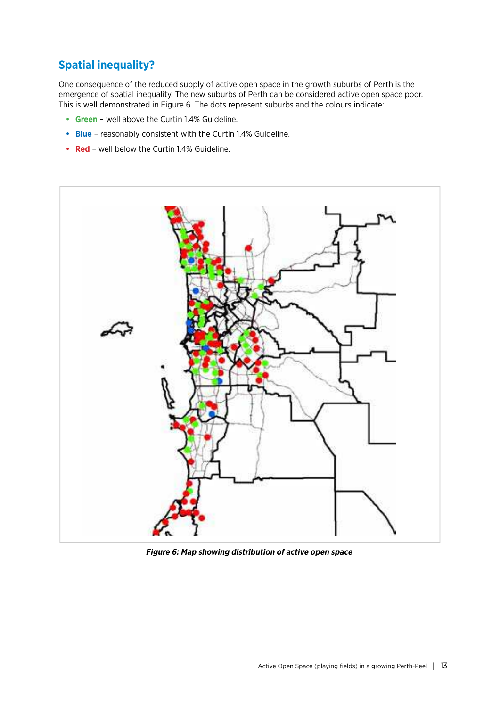## **Spatial inequality?**

One consequence of the reduced supply of active open space in the growth suburbs of Perth is the emergence of spatial inequality. The new suburbs of Perth can be considered active open space poor. This is well demonstrated in Figure 6. The dots represent suburbs and the colours indicate:

- **Green** well above the Curtin 1.4% Guideline.
- **Blue** reasonably consistent with the Curtin 1.4% Guideline.
- **Red** well below the Curtin 1.4% Guideline.



**Figure 6: Map showing distribution of active open space**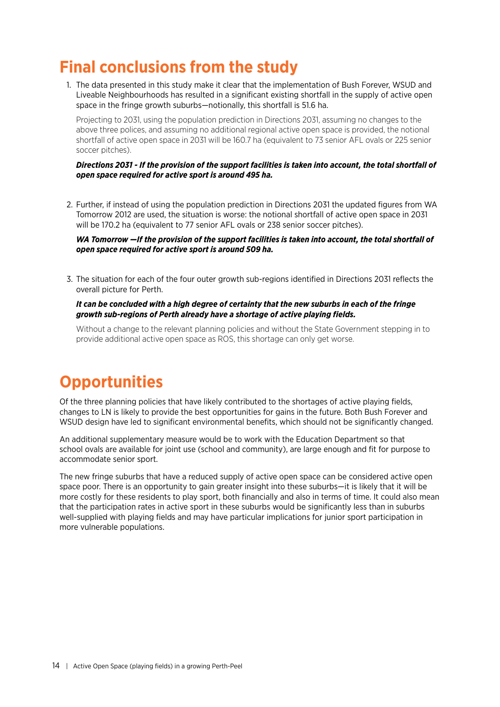# <span id="page-13-0"></span>**Final conclusions from the study**

1. The data presented in this study make it clear that the implementation of Bush Forever, WSUD and Liveable Neighbourhoods has resulted in a significant existing shortfall in the supply of active open space in the fringe growth suburbs—notionally, this shortfall is 51.6 ha.

Projecting to 2031, using the population prediction in Directions 2031, assuming no changes to the above three polices, and assuming no additional regional active open space is provided, the notional shortfall of active open space in 2031 will be 160.7 ha (equivalent to 73 senior AFL ovals or 225 senior soccer pitches).

#### *Directions 2031 - If the provision of the support facilities is taken into account, the total shortfall of open space required for active sport is around 495 ha.*

2. Further, if instead of using the population prediction in Directions 2031 the updated figures from WA Tomorrow 2012 are used, the situation is worse: the notional shortfall of active open space in 2031 will be 170.2 ha (equivalent to 77 senior AFL ovals or 238 senior soccer pitches).

*WA Tomorrow —If the provision of the support facilities is taken into account, the total shortfall of open space required for active sport is around 509 ha.*

3. The situation for each of the four outer growth sub-regions identified in Directions 2031 reflects the overall picture for Perth.

#### *It can be concluded with a high degree of certainty that the new suburbs in each of the fringe growth sub-regions of Perth already have a shortage of active playing fields.*

Without a change to the relevant planning policies and without the State Government stepping in to provide additional active open space as ROS, this shortage can only get worse.

# **Opportunities**

Of the three planning policies that have likely contributed to the shortages of active playing fields, changes to LN is likely to provide the best opportunities for gains in the future. Both Bush Forever and WSUD design have led to significant environmental benefits, which should not be significantly changed.

An additional supplementary measure would be to work with the Education Department so that school ovals are available for joint use (school and community), are large enough and fit for purpose to accommodate senior sport.

The new fringe suburbs that have a reduced supply of active open space can be considered active open space poor. There is an opportunity to gain greater insight into these suburbs—it is likely that it will be more costly for these residents to play sport, both financially and also in terms of time. It could also mean that the participation rates in active sport in these suburbs would be significantly less than in suburbs well-supplied with playing fields and may have particular implications for junior sport participation in more vulnerable populations.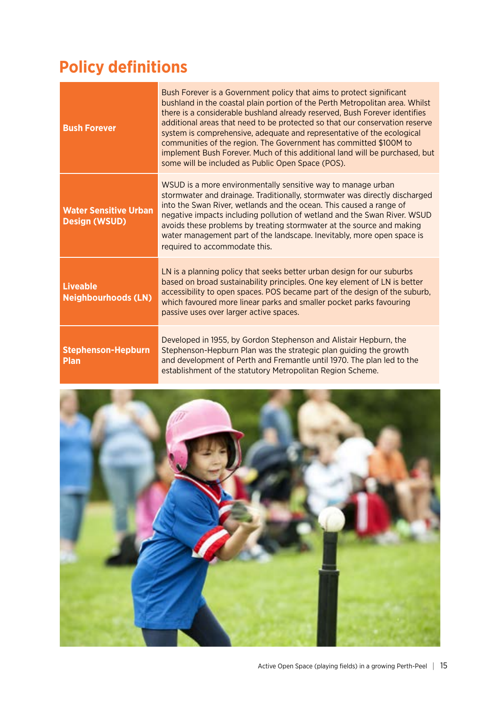# <span id="page-14-0"></span>**Policy definitions**

| <b>Bush Forever</b>                                  | Bush Forever is a Government policy that aims to protect significant<br>bushland in the coastal plain portion of the Perth Metropolitan area. Whilst<br>there is a considerable bushland already reserved, Bush Forever identifies<br>additional areas that need to be protected so that our conservation reserve<br>system is comprehensive, adequate and representative of the ecological<br>communities of the region. The Government has committed \$100M to<br>implement Bush Forever. Much of this additional land will be purchased, but<br>some will be included as Public Open Space (POS). |
|------------------------------------------------------|------------------------------------------------------------------------------------------------------------------------------------------------------------------------------------------------------------------------------------------------------------------------------------------------------------------------------------------------------------------------------------------------------------------------------------------------------------------------------------------------------------------------------------------------------------------------------------------------------|
| <b>Water Sensitive Urban</b><br><b>Design (WSUD)</b> | WSUD is a more environmentally sensitive way to manage urban<br>stormwater and drainage. Traditionally, stormwater was directly discharged<br>into the Swan River, wetlands and the ocean. This caused a range of<br>negative impacts including pollution of wetland and the Swan River. WSUD<br>avoids these problems by treating stormwater at the source and making<br>water management part of the landscape. Inevitably, more open space is<br>required to accommodate this.                                                                                                                    |
| <b>Liveable</b><br><b>Neighbourhoods (LN)</b>        | LN is a planning policy that seeks better urban design for our suburbs<br>based on broad sustainability principles. One key element of LN is better<br>accessibility to open spaces. POS became part of the design of the suburb,<br>which favoured more linear parks and smaller pocket parks favouring<br>passive uses over larger active spaces.                                                                                                                                                                                                                                                  |
| <b>Stephenson-Hepburn</b><br><b>Plan</b>             | Developed in 1955, by Gordon Stephenson and Alistair Hepburn, the<br>Stephenson-Hepburn Plan was the strategic plan guiding the growth<br>and development of Perth and Fremantle until 1970. The plan led to the<br>establishment of the statutory Metropolitan Region Scheme.                                                                                                                                                                                                                                                                                                                       |